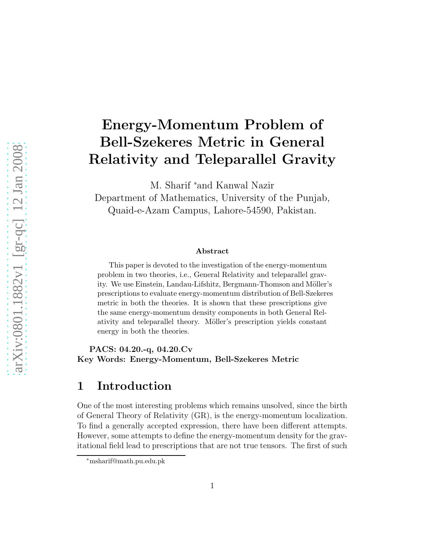# Energy-Momentum Problem of Bell-Szekeres Metric in General Relativity and Teleparallel Gravity

M. Sharif <sup>∗</sup>and Kanwal Nazir

Department of Mathematics, University of the Punjab, Quaid-e-Azam Campus, Lahore-54590, Pakistan.

#### Abstract

This paper is devoted to the investigation of the energy-momentum problem in two theories, i.e., General Relativity and teleparallel gravity. We use Einstein, Landau-Lifshitz, Bergmann-Thomson and Möller's prescriptions to evaluate energy-momentum distribution of Bell-Szekeres metric in both the theories. It is shown that these prescriptions give the same energy-momentum density components in both General Relativity and teleparallel theory. Möller's prescription yields constant energy in both the theories.

PACS: 04.20.-q, 04.20.Cv Key Words: Energy-Momentum, Bell-Szekeres Metric

# 1 Introduction

One of the most interesting problems which remains unsolved, since the birth of General Theory of Relativity (GR), is the energy-momentum localization. To find a generally accepted expression, there have been different attempts. However, some attempts to define the energy-momentum density for the gravitational field lead to prescriptions that are not true tensors. The first of such

<sup>∗</sup>msharif@math.pu.edu.pk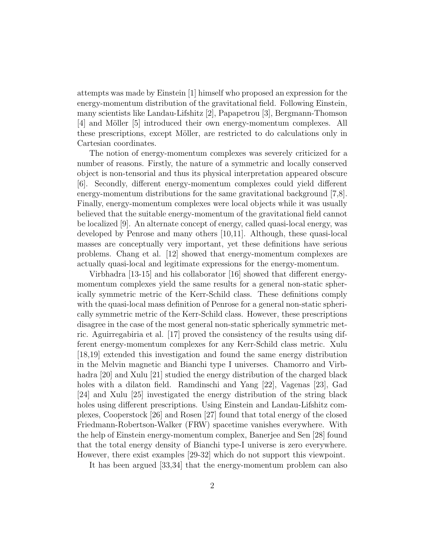attempts was made by Einstein [1] himself who proposed an expression for the energy-momentum distribution of the gravitational field. Following Einstein, many scientists like Landau-Lifshitz [2], Papapetrou [3], Bergmann-Thomson [4] and Möller [5] introduced their own energy-momentum complexes. All these prescriptions, except Möller, are restricted to do calculations only in Cartesian coordinates.

The notion of energy-momentum complexes was severely criticized for a number of reasons. Firstly, the nature of a symmetric and locally conserved object is non-tensorial and thus its physical interpretation appeared obscure [6]. Secondly, different energy-momentum complexes could yield different energy-momentum distributions for the same gravitational background [7,8]. Finally, energy-momentum complexes were local objects while it was usually believed that the suitable energy-momentum of the gravitational field cannot be localized [9]. An alternate concept of energy, called quasi-local energy, was developed by Penrose and many others [10,11]. Although, these quasi-local masses are conceptually very important, yet these definitions have serious problems. Chang et al. [12] showed that energy-momentum complexes are actually quasi-local and legitimate expressions for the energy-momentum.

Virbhadra [13-15] and his collaborator [16] showed that different energymomentum complexes yield the same results for a general non-static spherically symmetric metric of the Kerr-Schild class. These definitions comply with the quasi-local mass definition of Penrose for a general non-static spherically symmetric metric of the Kerr-Schild class. However, these prescriptions disagree in the case of the most general non-static spherically symmetric metric. Aguirregabiria et al. [17] proved the consistency of the results using different energy-momentum complexes for any Kerr-Schild class metric. Xulu [18,19] extended this investigation and found the same energy distribution in the Melvin magnetic and Bianchi type I universes. Chamorro and Virbhadra [20] and Xulu [21] studied the energy distribution of the charged black holes with a dilaton field. Ramdinschi and Yang [22], Vagenas [23], Gad [24] and Xulu [25] investigated the energy distribution of the string black holes using different prescriptions. Using Einstein and Landau-Lifshitz complexes, Cooperstock [26] and Rosen [27] found that total energy of the closed Friedmann-Robertson-Walker (FRW) spacetime vanishes everywhere. With the help of Einstein energy-momentum complex, Banerjee and Sen [28] found that the total energy density of Bianchi type-I universe is zero everywhere. However, there exist examples [29-32] which do not support this viewpoint.

It has been argued [33,34] that the energy-momentum problem can also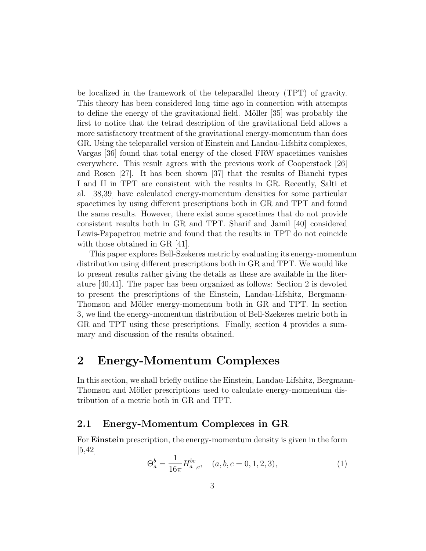be localized in the framework of the teleparallel theory (TPT) of gravity. This theory has been considered long time ago in connection with attempts to define the energy of the gravitational field. Möller [35] was probably the first to notice that the tetrad description of the gravitational field allows a more satisfactory treatment of the gravitational energy-momentum than does GR. Using the teleparallel version of Einstein and Landau-Lifshitz complexes, Vargas [36] found that total energy of the closed FRW spacetimes vanishes everywhere. This result agrees with the previous work of Cooperstock [26] and Rosen [27]. It has been shown [37] that the results of Bianchi types I and II in TPT are consistent with the results in GR. Recently, Salti et al. [38,39] have calculated energy-momentum densities for some particular spacetimes by using different prescriptions both in GR and TPT and found the same results. However, there exist some spacetimes that do not provide consistent results both in GR and TPT. Sharif and Jamil [40] considered Lewis-Papapetrou metric and found that the results in TPT do not coincide with those obtained in GR [41].

This paper explores Bell-Szekeres metric by evaluating its energy-momentum distribution using different prescriptions both in GR and TPT. We would like to present results rather giving the details as these are available in the literature [40,41]. The paper has been organized as follows: Section 2 is devoted to present the prescriptions of the Einstein, Landau-Lifshitz, Bergmann-Thomson and Möller energy-momentum both in GR and TPT. In section 3, we find the energy-momentum distribution of Bell-Szekeres metric both in GR and TPT using these prescriptions. Finally, section 4 provides a summary and discussion of the results obtained.

### 2 Energy-Momentum Complexes

In this section, we shall briefly outline the Einstein, Landau-Lifshitz, Bergmann-Thomson and Möller prescriptions used to calculate energy-momentum distribution of a metric both in GR and TPT.

#### 2.1 Energy-Momentum Complexes in GR

For Einstein prescription, the energy-momentum density is given in the form  $|5,42|$ 

$$
\Theta_a^b = \frac{1}{16\pi} H_{a,c}^{bc}, \quad (a, b, c = 0, 1, 2, 3), \tag{1}
$$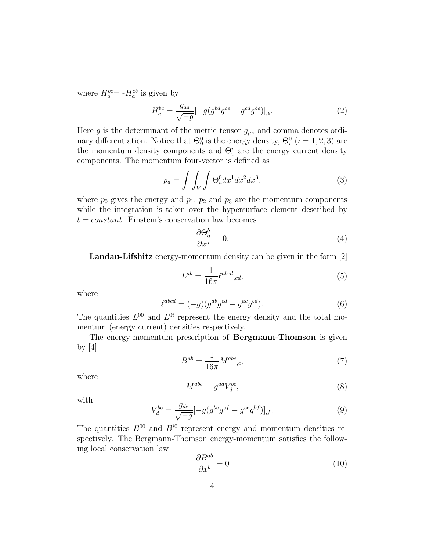where  $H_a^{bc} = -H_a^{cb}$  is given by

$$
H_a^{bc} = \frac{g_{ad}}{\sqrt{-g}} [-g(g^{bd}g^{ce} - g^{cd}g^{be})]_{,e}.
$$
 (2)

Here g is the determinant of the metric tensor  $g_{\mu\nu}$  and comma denotes ordinary differentiation. Notice that  $\Theta_0^0$  is the energy density,  $\Theta_i^0$   $(i = 1, 2, 3)$  are the momentum density components and  $\Theta_0^i$  are the energy current density components. The momentum four-vector is defined as

$$
p_a = \int \int_V \int \Theta_a^0 dx^1 dx^2 dx^3,
$$
\n(3)

where  $p_0$  gives the energy and  $p_1$ ,  $p_2$  and  $p_3$  are the momentum components while the integration is taken over the hypersurface element described by  $t = constant$ . Einstein's conservation law becomes

$$
\frac{\partial \Theta_a^b}{\partial x^a} = 0. \tag{4}
$$

Landau-Lifshitz energy-momentum density can be given in the form [2]

$$
L^{ab} = \frac{1}{16\pi} \ell^{abcd}{}_{,cd},\tag{5}
$$

where

$$
\ell^{abcd} = (-g)(g^{ab}g^{cd} - g^{ac}g^{bd}).\tag{6}
$$

The quantities  $L^{00}$  and  $L^{0i}$  represent the energy density and the total momentum (energy current) densities respectively.

The energy-momentum prescription of Bergmann-Thomson is given by  $[4]$ 

$$
B^{ab} = \frac{1}{16\pi} M^{abc}{}_{,c},\tag{7}
$$

where

$$
M^{abc} = g^{ad} V_d^{bc},\tag{8}
$$

with

$$
V_d^{bc} = \frac{g_{de}}{\sqrt{-g}} [-g(g^{be}g^{cf} - g^{ce}g^{bf})]_{,f}.
$$
\n(9)

The quantities  $B^{00}$  and  $B^{i0}$  represent energy and momentum densities respectively. The Bergmann-Thomson energy-momentum satisfies the following local conservation law

$$
\frac{\partial B^{ab}}{\partial x^b} = 0\tag{10}
$$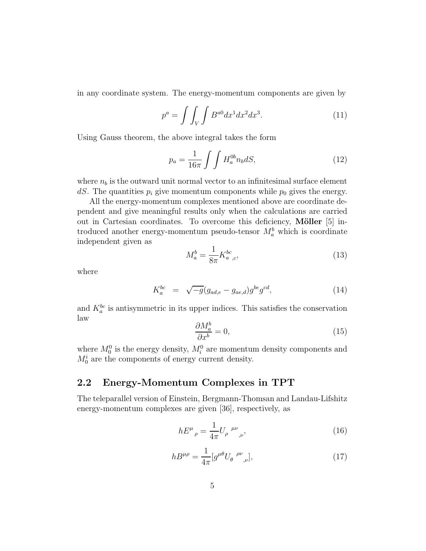in any coordinate system. The energy-momentum components are given by

$$
p^a = \int \int_V \int B^{a0} dx^1 dx^2 dx^3. \tag{11}
$$

Using Gauss theorem, the above integral takes the form

$$
p_a = \frac{1}{16\pi} \int \int H_a^{0b} n_b dS,\tag{12}
$$

where  $n_b$  is the outward unit normal vector to an infinitesimal surface element dS. The quantities  $p_i$  give momentum components while  $p_0$  gives the energy.

All the energy-momentum complexes mentioned above are coordinate dependent and give meaningful results only when the calculations are carried out in Cartesian coordinates. To overcome this deficiency, Möller  $[5]$  introduced another energy-momentum pseudo-tensor  $M_a^b$  which is coordinate independent given as

$$
M_a^b = \frac{1}{8\pi} K_{a,c}^{bc},\tag{13}
$$

where

$$
K_a^{bc} = \sqrt{-g}(g_{ad,e} - g_{ae,d})g^{be}g^{cd}, \qquad (14)
$$

and  $K_a^{bc}$  is antisymmetric in its upper indices. This satisfies the conservation law

$$
\frac{\partial M_a^b}{\partial x^b} = 0,\t\t(15)
$$

where  $M_0^0$  is the energy density,  $M_i^0$  are momentum density components and  $M_0^i$  are the components of energy current density.

#### 2.2 Energy-Momentum Complexes in TPT

The teleparallel version of Einstein, Bergmann-Thomsan and Landau-Lifshitz energy-momentum complexes are given [36], respectively, as

$$
hE^{\mu}{}_{\rho} = \frac{1}{4\pi} U_{\rho}{}^{\mu\nu}{}_{,\nu},\tag{16}
$$

$$
h B^{\mu \rho} = \frac{1}{4\pi} [g^{\mu \theta} U_{\theta}^{\ \rho \nu}{}_{,\nu}], \tag{17}
$$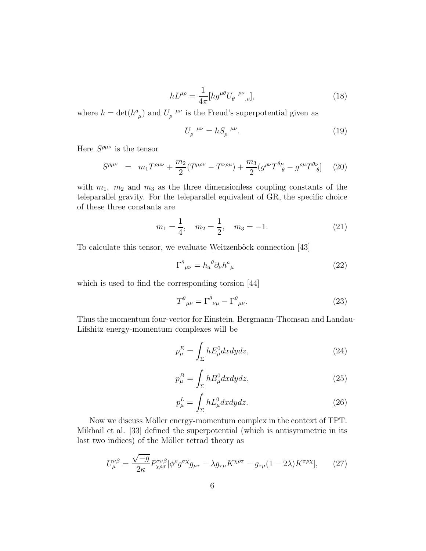$$
hL^{\mu\rho} = \frac{1}{4\pi} [hg^{\mu\theta} U_{\theta}^{\quad \rho\nu}{}_{,\nu}], \tag{18}
$$

where  $h = \det(h^a_{\mu})$  and  $U_{\rho}^{\mu\nu}$  is the Freud's superpotential given as

$$
U_{\rho}^{\mu\nu} = hS_{\rho}^{\mu\nu}.
$$
\n(19)

Here  $S^{\rho\mu\nu}$  is the tensor

$$
S^{\rho\mu\nu} = m_1 T^{\rho\mu\nu} + \frac{m_2}{2} (T^{\mu\rho\nu} - T^{\nu\rho\mu}) + \frac{m_3}{2} (g^{\rho\nu} T^{\theta\mu}_{\ \theta} - g^{\rho\mu} T^{\theta\nu}_{\ \theta}) \tag{20}
$$

with  $m_1$ ,  $m_2$  and  $m_3$  as the three dimensionless coupling constants of the teleparallel gravity. For the teleparallel equivalent of GR, the specific choice of these three constants are

$$
m_1 = \frac{1}{4}
$$
,  $m_2 = \frac{1}{2}$ ,  $m_3 = -1$ . (21)

To calculate this tensor, we evaluate Weitzenböck connection [43]

$$
\Gamma^{\theta}{}_{\mu\nu} = h_{a}{}^{\theta} \partial_{\nu} h^{a}{}_{\mu} \tag{22}
$$

which is used to find the corresponding torsion [44]

$$
T^{\theta}{}_{\mu\nu} = \Gamma^{\theta}{}_{\nu\mu} - \Gamma^{\theta}{}_{\mu\nu}.
$$
 (23)

Thus the momentum four-vector for Einstein, Bergmann-Thomsan and Landau-Lifshitz energy-momentum complexes will be

$$
p_{\mu}^{E} = \int_{\Sigma} h E_{\mu}^{0} dx dy dz, \qquad (24)
$$

$$
p_{\mu}^{B} = \int_{\Sigma} h B_{\mu}^{0} dx dy dz, \qquad (25)
$$

$$
p_{\mu}^{L} = \int_{\Sigma} h L_{\mu}^{0} dx dy dz.
$$
 (26)

Now we discuss Möller energy-momentum complex in the context of TPT. Mikhail et al. [33] defined the superpotential (which is antisymmetric in its last two indices) of the Möller tetrad theory as

$$
U^{\nu\beta}_{\mu} = \frac{\sqrt{-g}}{2\kappa} P^{\tau\nu\beta}_{\chi\rho\sigma} [\phi^{\rho} g^{\sigma\chi} g_{\mu\tau} - \lambda g_{\tau\mu} K^{\chi\rho\sigma} - g_{\tau\mu} (1 - 2\lambda) K^{\sigma\rho\chi}], \qquad (27)
$$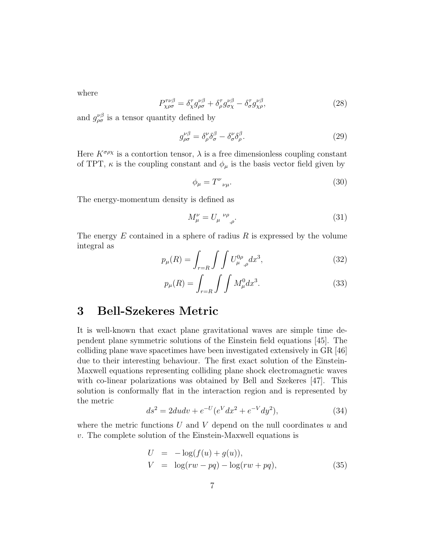where

$$
P^{\tau\nu\beta}_{\chi\rho\sigma} = \delta^{\tau}_{\chi} g^{\nu\beta}_{\rho\sigma} + \delta^{\tau}_{\rho} g^{\nu\beta}_{\sigma\chi} - \delta^{\tau}_{\sigma} g^{\nu\beta}_{\chi\rho}, \tag{28}
$$

and  $g_{\rho\sigma}^{\nu\beta}$  is a tensor quantity defined by

$$
g_{\rho\sigma}^{\nu\beta} = \delta_{\rho}^{\nu}\delta_{\sigma}^{\beta} - \delta_{\sigma}^{\nu}\delta_{\rho}^{\beta}.
$$
 (29)

Here  $K^{\sigma\rho\chi}$  is a contortion tensor,  $\lambda$  is a free dimensionless coupling constant of TPT,  $\kappa$  is the coupling constant and  $\phi_{\mu}$  is the basis vector field given by

$$
\phi_{\mu} = T^{\nu}{}_{\nu\mu}.\tag{30}
$$

The energy-momentum density is defined as

$$
M^{\nu}_{\mu} = U_{\mu}^{\ \nu\rho}{}_{,\rho}.\tag{31}
$$

The energy  $E$  contained in a sphere of radius  $R$  is expressed by the volume integral as

$$
p_{\mu}(R) = \int_{r=R} \int \int U_{\mu}^{0\rho}{}_{,\rho} dx^3,
$$
 (32)

$$
p_{\mu}(R) = \int_{r=R} \int \int M_{\mu}^0 dx^3.
$$
 (33)

# 3 Bell-Szekeres Metric

It is well-known that exact plane gravitational waves are simple time dependent plane symmetric solutions of the Einstein field equations [45]. The colliding plane wave spacetimes have been investigated extensively in GR [46] due to their interesting behaviour. The first exact solution of the Einstein-Maxwell equations representing colliding plane shock electromagnetic waves with co-linear polarizations was obtained by Bell and Szekeres [47]. This solution is conformally flat in the interaction region and is represented by the metric

$$
ds^{2} = 2du dv + e^{-U}(e^{V} dx^{2} + e^{-V} dy^{2}),
$$
\n(34)

where the metric functions  $U$  and  $V$  depend on the null coordinates  $u$  and v. The complete solution of the Einstein-Maxwell equations is

$$
U = -\log(f(u) + g(u)),
$$
  
\n
$$
V = \log(rw - pq) - \log(rw + pq),
$$
\n(35)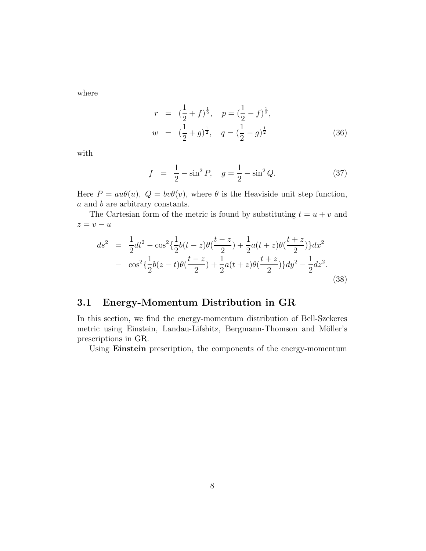where

$$
r = \left(\frac{1}{2} + f\right)^{\frac{1}{2}}, \quad p = \left(\frac{1}{2} - f\right)^{\frac{1}{2}},
$$
  

$$
w = \left(\frac{1}{2} + g\right)^{\frac{1}{2}}, \quad q = \left(\frac{1}{2} - g\right)^{\frac{1}{2}}.
$$
 (36)

with

$$
f = \frac{1}{2} - \sin^2 P, \quad g = \frac{1}{2} - \sin^2 Q. \tag{37}
$$

Here  $P = au\theta(u)$ ,  $Q = bv\theta(v)$ , where  $\theta$  is the Heaviside unit step function, a and b are arbitrary constants.

The Cartesian form of the metric is found by substituting  $t = u + v$  and  $z = v - u$ 

$$
ds^{2} = \frac{1}{2}dt^{2} - \cos^{2}\left{\frac{1}{2}b(t-z)\theta\left(\frac{t-z}{2}\right) + \frac{1}{2}a(t+z)\theta\left(\frac{t+z}{2}\right)\right}dx^{2}
$$

$$
-\cos^{2}\left{\frac{1}{2}b(z-t)\theta\left(\frac{t-z}{2}\right) + \frac{1}{2}a(t+z)\theta\left(\frac{t+z}{2}\right)\right}dy^{2} - \frac{1}{2}dz^{2}.
$$
(38)

#### 3.1 Energy-Momentum Distribution in GR

In this section, we find the energy-momentum distribution of Bell-Szekeres metric using Einstein, Landau-Lifshitz, Bergmann-Thomson and Möller's prescriptions in GR.

Using Einstein prescription, the components of the energy-momentum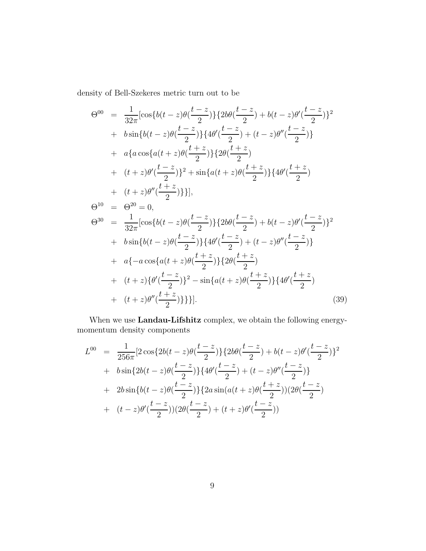density of Bell-Szekeres metric turn out to be

$$
\Theta^{00} = \frac{1}{32\pi} [\cos\{b(t-z)\theta(\frac{t-z}{2})\} \{2b\theta(\frac{t-z}{2}) + b(t-z)\theta'(\frac{t-z}{2})\}^{2}
$$
  
+  $b \sin\{b(t-z)\theta(\frac{t-z}{2})\} \{4\theta'(\frac{t-z}{2}) + (t-z)\theta''(\frac{t-z}{2})\}$   
+  $a\{a \cos\{a(t+z)\theta(\frac{t+z}{2})\} \{2\theta(\frac{t+z}{2})\}$   
+  $(t+z)\theta'(\frac{t-z}{2})\}^{2} + \sin\{a(t+z)\theta(\frac{t+z}{2})\} \{4\theta'(\frac{t+z}{2})\}$   
+  $(t+z)\theta''(\frac{t+z}{2})\}$ ],  

$$
\Theta^{10} = \Theta^{20} = 0,
$$

$$
\Theta^{30} = \frac{1}{32\pi} [\cos\{b(t-z)\theta(\frac{t-z}{2})\} \{2b\theta(\frac{t-z}{2}) + b(t-z)\theta'(\frac{t-z}{2})\}^{2}
$$
+  $b \sin\{b(t-z)\theta(\frac{t-z}{2})\} \{4\theta'(\frac{t-z}{2}) + (t-z)\theta''(\frac{t-z}{2})\}$   
+  $a\{-a \cos\{a(t+z)\theta(\frac{t+z}{2})\} \{2\theta(\frac{t+z}{2})\}$   
+  $(t+z)\{\theta'(\frac{t-z}{2})\}^{2} - \sin\{a(t+z)\theta(\frac{t+z}{2})\} \{4\theta'(\frac{t+z}{2})\}$   
+  $(t+z)\theta''(\frac{t+z}{2})\}$ ]. (39)

When we use Landau-Lifshitz complex, we obtain the following energymomentum density components

$$
L^{00} = \frac{1}{256\pi} \left[ 2 \cos\{2b(t-z)\theta(\frac{t-z}{2})\} \{2b\theta(\frac{t-z}{2}) + b(t-z)\theta'(\frac{t-z}{2})\}^2 + b \sin\{2b(t-z)\theta(\frac{t-z}{2})\} \{4\theta'(\frac{t-z}{2}) + (t-z)\theta''(\frac{t-z}{2})\} + 2b \sin\{b(t-z)\theta(\frac{t-z}{2})\} \{2a \sin(a(t+z)\theta(\frac{t+z}{2})) (2\theta(\frac{t-z}{2}) + (t-z)\theta'(\frac{t-z}{2})) (2\theta(\frac{t-z}{2}) + (t+z)\theta'(\frac{t-z}{2}))
$$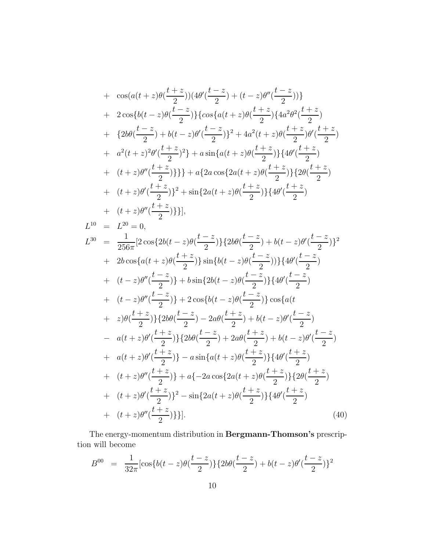+ 
$$
\cos(a(t+z)\theta(\frac{t+z}{2}))\{4\theta'(\frac{t-z}{2})+(t-z)\theta''(\frac{t-z}{2})\}\}
$$
  
+  $2\cos\{b(t-z)\theta(\frac{t-z}{2})\}\{\cos\{a(t+z)\theta(\frac{t+z}{2})\}\{4a^2\theta^2(\frac{t+z}{2})\}$   
+  $\{2b\theta(\frac{t-z}{2})+b(t-z)\theta'(\frac{t-z}{2})\}^2+4a^2(t+z)\theta(\frac{t+z}{2})\theta'(\frac{t+z}{2})$   
+  $a^2(t+z)^2\theta'(\frac{t+z}{2})^2\}+a\sin\{a(t+z)\theta(\frac{t+z}{2})\}\{4\theta'(\frac{t+z}{2})\}$   
+  $(t+z)\theta''(\frac{t+z}{2})\}\}+a\{2a\cos\{2a(t+z)\theta(\frac{t+z}{2})\}\{4\theta'(\frac{t+z}{2})\}$   
+  $(t+z)\theta''(\frac{t+z}{2})\}^2+\sin\{2a(t+z)\theta(\frac{t+z}{2})\}\{4\theta'(\frac{t+z}{2})\}$   
+  $(t+z)\theta''(\frac{t+z}{2})\}$ ];  
 $L^{10} = L^{20} = 0$ ,  
 $L^{30} = \frac{1}{256\pi}[2\cos\{2b(t-z)\theta(\frac{t-z}{2})\}\{2b\theta(\frac{t-z}{2})+b(t-z)\theta'(\frac{t-z}{2})\}^2$   
+  $2b\cos\{a(t+z)\theta(\frac{t+z}{2})\}\sin\{b(t-z)\theta(\frac{t-z}{2})\}\{4\theta'(\frac{t-z}{2})\}$   
+  $(t-z)\theta''(\frac{t-z}{2})\}+b\sin\{2b(t-z)\theta(\frac{t-z}{2})\}\{4\theta'(\frac{t-z}{2})\}$   
+  $(t-z)\theta''(\frac{t-z}{2})\}+2\cos\{b(t-z)\theta(\frac{t-z}{2})\}\cos\{a(t+\frac{t-z}{2})\}$   
-  $a(t+z)\theta'(\frac{t+z}{2})\}\{2b\theta(\frac{t-z}{2})+2a\theta(\frac{t+z}{2})+b(t-z)\theta'(\frac{t-z}{2})\}$   
-  $a(t+z)\theta'(\frac{t+z}{2})\}\{2b\theta(\frac{t-z$ 

The energy-momentum distribution in Bergmann-Thomson's prescription will become

$$
B^{00} = \frac{1}{32\pi} [\cos\{b(t-z)\theta(\frac{t-z}{2})\} \{2b\theta(\frac{t-z}{2}) + b(t-z)\theta'(\frac{t-z}{2})\}^2
$$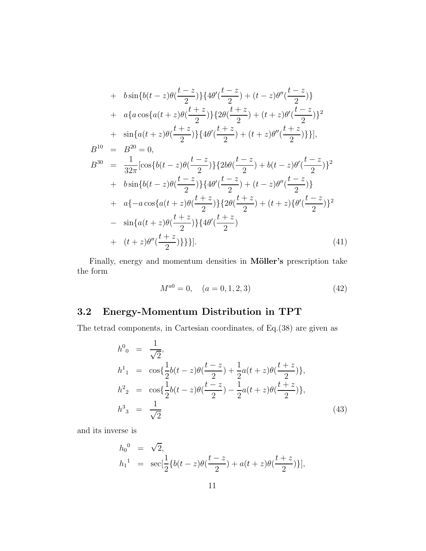+ 
$$
b\sin\{b(t-z)\theta(\frac{t-z}{2})\}\{4\theta'(\frac{t-z}{2}) + (t-z)\theta''(\frac{t-z}{2})\}
$$
  
\n+  $a\{a\cos\{a(t+z)\theta(\frac{t+z}{2})\}\{2\theta(\frac{t+z}{2}) + (t+z)\theta'(\frac{t-z}{2})\}^2$   
\n+  $\sin\{a(t+z)\theta(\frac{t+z}{2})\}\{4\theta'(\frac{t+z}{2}) + (t+z)\theta''(\frac{t+z}{2})\}\}$ ,  
\n $B^{10} = B^{20} = 0$ ,  
\n $B^{30} = \frac{1}{32\pi}[\cos\{b(t-z)\theta(\frac{t-z}{2})\}\{2b\theta(\frac{t-z}{2}) + b(t-z)\theta'(\frac{t-z}{2})\}^2$   
\n+  $b\sin\{b(t-z)\theta(\frac{t-z}{2})\}\{4\theta'(\frac{t-z}{2}) + (t-z)\theta''(\frac{t-z}{2})\}$   
\n+  $a\{-a\cos\{a(t+z)\theta(\frac{t+z}{2})\}\{2\theta(\frac{t+z}{2}) + (t+z)\{\theta'(\frac{t-z}{2})\}^2\}$   
\n-  $\sin\{a(t+z)\theta(\frac{t+z}{2})\}\{4\theta'(\frac{t+z}{2})$   
\n+  $(t+z)\theta''(\frac{t+z}{2})\}$ }. (41)

Finally, energy and momentum densities in Möller's prescription take the form

$$
M^{a0} = 0, \quad (a = 0, 1, 2, 3)
$$
\n<sup>(42)</sup>

# 3.2 Energy-Momentum Distribution in TPT

The tetrad components, in Cartesian coordinates, of Eq.(38) are given as

$$
h^{0}_{0} = \frac{1}{\sqrt{2}},
$$
  
\n
$$
h^{1}_{1} = \cos\left\{\frac{1}{2}b(t-z)\theta\left(\frac{t-z}{2}\right) + \frac{1}{2}a(t+z)\theta\left(\frac{t+z}{2}\right)\right\},\
$$
  
\n
$$
h^{2}_{2} = \cos\left\{\frac{1}{2}b(t-z)\theta\left(\frac{t-z}{2}\right) - \frac{1}{2}a(t+z)\theta\left(\frac{t+z}{2}\right)\right\},\
$$
  
\n
$$
h^{3}_{3} = \frac{1}{\sqrt{2}}
$$
\n(43)

and its inverse is

$$
h_0^0 = \sqrt{2},
$$
  
\n
$$
h_1^1 = \sec[\frac{1}{2}\{b(t-z)\theta(\frac{t-z}{2}) + a(t+z)\theta(\frac{t+z}{2})\}],
$$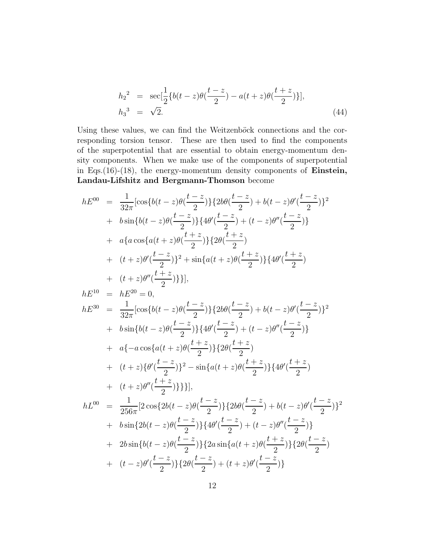$$
h_2^2 = \sec[\frac{1}{2}\{b(t-z)\theta(\frac{t-z}{2}) - a(t+z)\theta(\frac{t+z}{2})\}],
$$
  
\n
$$
h_3^3 = \sqrt{2}.
$$
\n(44)

Using these values, we can find the Weitzenböck connections and the corresponding torsion tensor. These are then used to find the components of the superpotential that are essential to obtain energy-momentum density components. When we make use of the components of superpotential in Eqs.(16)-(18), the energy-momentum density components of Einstein, Landau-Lifshitz and Bergmann-Thomson become

$$
hE^{00} = \frac{1}{32\pi} [\cos\{b(t-z)\theta(\frac{t-z}{2})\} \{2b\theta(\frac{t-z}{2}) + b(t-z)\theta'(\frac{t-z}{2})\}^{2}
$$
  
+  $b \sin\{b(t-z)\theta(\frac{t-z}{2})\} \{4\theta'(\frac{t-z}{2}) + (t-z)\theta''(\frac{t-z}{2})\}$   
+  $a\{a \cos\{a(t+z)\theta(\frac{t+z}{2})\} \{2\theta(\frac{t+z}{2})\}$   
+  $(t+z)\theta'(\frac{t-z}{2})\}^{2} + \sin\{a(t+z)\theta(\frac{t+z}{2})\} \{4\theta'(\frac{t+z}{2})\}$   
+  $(t+z)\theta''(\frac{t+z}{2})\}$ ],  
 $hE^{10} = hE^{20} = 0$ ,  
 $hE^{30} = \frac{1}{32\pi} [\cos\{b(t-z)\theta(\frac{t-z}{2})\} \{2b\theta(\frac{t-z}{2}) + b(t-z)\theta'(\frac{t-z}{2})\}^{2}$   
+  $b \sin\{b(t-z)\theta(\frac{t-z}{2})\} \{4\theta'(\frac{t-z}{2}) + (t-z)\theta''(\frac{t-z}{2})\}$   
+  $a\{-a \cos\{a(t+z)\theta(\frac{t+z}{2})\} \{2\theta(\frac{t+z}{2})\}$   
+  $(t+z)\{\theta'(\frac{t-z}{2})\}^{2} - \sin\{a(t+z)\theta(\frac{t+z}{2})\} \{4\theta'(\frac{t+z}{2})\}$   
+  $(t+z)\theta''(\frac{t+z}{2})\}$ ],  
 $hL^{00} = \frac{1}{256\pi} [2 \cos\{2b(t-z)\theta(\frac{t-z}{2})\} \{2b\theta(\frac{t-z}{2}) + b(t-z)\theta'(\frac{t-z}{2})\}^{2}$   
+  $b \sin\{2b(t-z)\theta(\frac{t-z}{2})\} \{4\theta'(\frac{t-z}{2}) + (t-z)\theta''(\frac{t-z}{2})\}$   
+  $2b \sin\{b(t-z)\theta(\frac{t-z}{2})\} \{2a \sin\{a(t+z)\theta(\frac{t-z}{2})\} \{2\theta(\frac{t-z}{2})\}$   
+  $(t-z)\theta'$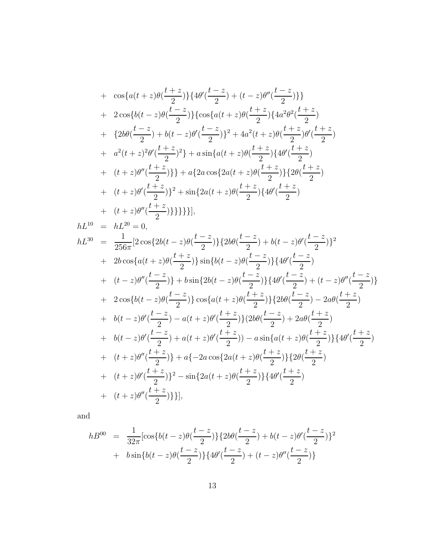+ 
$$
\cos\{a(t+z)\theta(\frac{t+z}{2})\}\{4\theta'(\frac{t-z}{2})+(t-z)\theta''(\frac{t-z}{2})\}\}
$$
  
+  $2\cos\{b(t-z)\theta(\frac{t-z}{2})\}\{\cos\{a(t+z)\theta(\frac{t+z}{2})\}\{4a^2\theta^2(\frac{t+z}{2})\}$   
+  $\{2b\theta(\frac{t-z}{2})+b(t-z)\theta'(\frac{t-z}{2})\}^2+4a^2(t+z)\theta(\frac{t+z}{2})\theta'(\frac{t+z}{2})$   
+  $a^2(t+z)^2\theta'(\frac{t+z}{2})^2\}+a\sin\{a(t+z)\theta(\frac{t+z}{2})\}\{4\theta'(\frac{t+z}{2})$   
+  $(t+z)\theta''(\frac{t+z}{2})\}+a\{2a\cos\{2a(t+z)\theta(\frac{t+z}{2})\}\{2\theta(\frac{t+z}{2})\}$   
+  $(t+z)\theta''(\frac{t+z}{2})\}^2+\sin\{2a(t+z)\theta(\frac{t+z}{2})\}\{4\theta'(\frac{t+z}{2})\}$   
+  $(t+z)\theta''(\frac{t+z}{2})\}$ ];  
hL<sup>10</sup> =  $hL^{20} = 0$ ,  
 $hL^{30} = \frac{1}{256\pi}[2\cos\{2b(t-z)\theta(\frac{t-z}{2})\}\{2b\theta(\frac{t-z}{2})+b(t-z)\theta'(\frac{t-z}{2})\}^2$   
+  $2b\cos\{a(t+z)\theta(\frac{t+z}{2})\}\sin\{b(t-z)\theta(\frac{t-z}{2})\}\{4\theta'(\frac{t-z}{2})+(t-z)\theta''(\frac{t-z}{2})\}$   
+  $2\cos\{b(t-z)\theta(\frac{t-z}{2})\}\cos\{a(t+z)\theta(\frac{t+z}{2})\}\{2b\theta(\frac{t-z}{2})-2a\theta(\frac{t+z}{2})\}$   
+  $b(t-z)\theta'(\frac{t-z}{2})-a(t+z)\theta'(\frac{t+z}{2})\}\{2b\theta(\frac{t-z}{2})-2a\theta(\frac{t+z}{2})\}$   
+  $b(t-z)\theta'(\frac{t-z}{2})-a(t+z)\theta'(\frac{t+z}{2})\}\{2b\theta(\frac{t-z}{2})-2$ 

and

$$
hB^{00} = \frac{1}{32\pi} \left[ \cos\{b(t-z)\theta(\frac{t-z}{2})\} \{2b\theta(\frac{t-z}{2}) + b(t-z)\theta'(\frac{t-z}{2})\}^2 + b\sin\{b(t-z)\theta(\frac{t-z}{2})\} \{4\theta'(\frac{t-z}{2}) + (t-z)\theta''(\frac{t-z}{2})\}
$$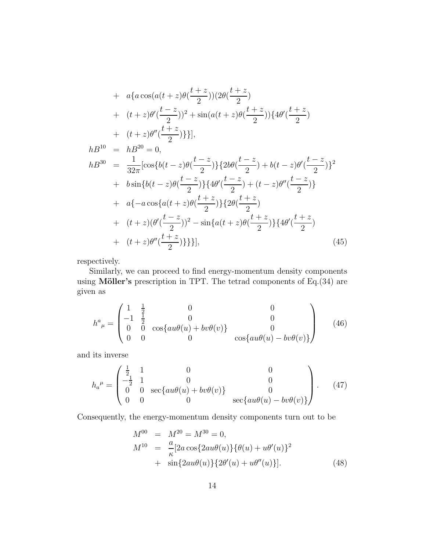+ 
$$
a\{a\cos(a(t+z)\theta(\frac{t+z}{2}))\left(2\theta(\frac{t+z}{2})\right)
$$
  
\n+  $(t+z)\theta'(\frac{t-z}{2})^2 + \sin(a(t+z)\theta(\frac{t+z}{2}))\left\{4\theta'(\frac{t+z}{2})\right\}$   
\n+  $(t+z)\theta''(\frac{t+z}{2})\}$ ],  
\n $hB^{10} = hB^{20} = 0$ ,  
\n $hB^{30} = \frac{1}{32\pi}[\cos\{b(t-z)\theta(\frac{t-z}{2})\}\left\{2b\theta(\frac{t-z}{2})+b(t-z)\theta'(\frac{t-z}{2})\right\}^2$   
\n+  $b\sin\{b(t-z)\theta(\frac{t-z}{2})\}\left\{4\theta'(\frac{t-z}{2})+(t-z)\theta''(\frac{t-z}{2})\right\}$   
\n+  $a\{-a\cos\{a(t+z)\theta(\frac{t+z}{2})\}\left\{2\theta(\frac{t+z}{2})\right\}$   
\n+  $(t+z)(\theta'(\frac{t-z}{2}))^2 - \sin\{a(t+z)\theta(\frac{t+z}{2})\}\left\{4\theta'(\frac{t+z}{2})\right\}$   
\n+  $(t+z)\theta''(\frac{t+z}{2})\}$ },  
\n(45)

respectively.

Similarly, we can proceed to find energy-momentum density components using Möller's prescription in TPT. The tetrad components of  $Eq.(34)$  are given as

$$
h^{a}_{\ \mu} = \begin{pmatrix} 1 & \frac{1}{2} & 0 & 0 \\ -1 & \frac{1}{2} & 0 & 0 \\ 0 & 0 & \cos\{au\theta(u) + bv\theta(v)\} & 0 \\ 0 & 0 & 0 & \cos\{au\theta(u) - bv\theta(v)\} \end{pmatrix}
$$
 (46)

and its inverse

$$
h_{a}^{\mu} = \begin{pmatrix} \frac{1}{2} & 1 & 0 & 0 \\ -\frac{1}{2} & 1 & 0 & 0 \\ 0 & 0 & \sec\{au\theta(u) + bv\theta(v)\} & 0 \\ 0 & 0 & 0 & \sec\{au\theta(u) - bv\theta(v)\} \end{pmatrix}.
$$
 (47)

Consequently, the energy-momentum density components turn out to be

$$
M^{00} = M^{20} = M^{30} = 0,
$$
  
\n
$$
M^{10} = \frac{a}{\kappa} [2a \cos\{2au\theta(u)\}\{\theta(u) + u\theta'(u)\}^2 + \sin\{2au\theta(u)\}\{2\theta'(u) + u\theta''(u)\}].
$$
\n(48)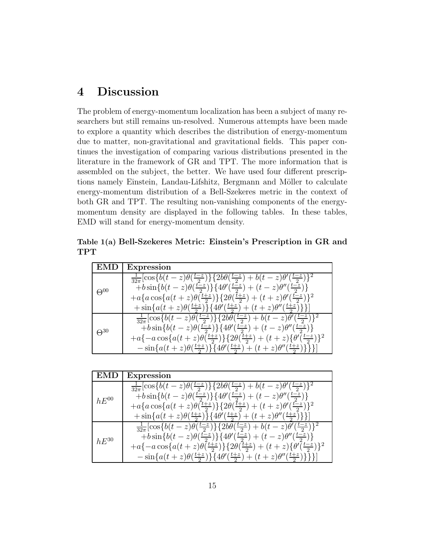# 4 Discussion

The problem of energy-momentum localization has been a subject of many researchers but still remains un-resolved. Numerous attempts have been made to explore a quantity which describes the distribution of energy-momentum due to matter, non-gravitational and gravitational fields. This paper continues the investigation of comparing various distributions presented in the literature in the framework of GR and TPT. The more information that is assembled on the subject, the better. We have used four different prescriptions namely Einstein, Landau-Lifshitz, Bergmann and Möller to calculate energy-momentum distribution of a Bell-Szekeres metric in the context of both GR and TPT. The resulting non-vanishing components of the energymomentum density are displayed in the following tables. In these tables, EMD will stand for energy-momentum density.

Table 1(a) Bell-Szekeres Metric: Einstein's Prescription in GR and TPT

| EMD           | <b>Expression</b>                                                                                               |
|---------------|-----------------------------------------------------------------------------------------------------------------|
| $\Theta^{00}$ | $\frac{1}{32\pi}[\cos\{b(t-z)\theta(\frac{t-z}{2})\}\{2b\theta(\frac{t-z}{2})+b(t-z)\theta'(\frac{t-z}{2})\}^2$ |
|               | $+ b \sin\{b(t-z)\theta(\frac{t-z}{2})\}\{4\theta'(\frac{t-z}{2})+(t-z)\theta''(\frac{t-z}{2})\}$               |
|               | $+a\{a\cos\{a(t+z)\theta(\frac{t+z}{2})\}\{2\theta(\frac{t+z}{2})+(t+z)\theta'(\frac{t-z}{2})\}^2$              |
|               | $+\sin\{a(t+z)\theta(\frac{t+z}{2})\}\{4\theta'(\frac{t+z}{2})+(t+z)\theta''(\frac{t+z}{2})\}\}\$               |
| $\Theta^{30}$ | $\frac{1}{32\pi}[\cos\{b(t-z)\theta(\frac{t-z}{2})\}\{2b\theta(\frac{t-z}{2})+b(t-z)\theta'(\frac{t-z}{2})\}^2$ |
|               | $\{\pm b \sin\{b(t-z)\theta(\frac{t-z}{2})\}\{4\theta'(\frac{t-z}{2})+(t-z)\theta''(\frac{t-z}{2})\}$           |
|               | $+a\{-a\cos\{a(t+z)\theta(\frac{t+z}{2})\}\{2\theta(\frac{t+z}{2})+(t+z)\{\theta'(\frac{t-z}{2})\}^2$           |
|               | $-\sin\{a(t+z)\theta(\frac{t+z}{2})\}\{4\theta'(\frac{t+z}{2})+(t+z)\theta''(\frac{t+z}{2})\}\}\$               |

| <b>EMD</b> | <b>Expression</b>                                                                                               |
|------------|-----------------------------------------------------------------------------------------------------------------|
| $hE^{00}$  | $\frac{1}{32\pi}[\cos\{b(t-z)\theta(\frac{t-z}{2})\}\{2b\theta(\frac{t-z}{2})+b(t-z)\theta'(\frac{t-z}{2})\}^2$ |
|            | $\{\pm b \sin\{b(t-z)\theta(\frac{t-z}{2})\}\{4\theta'(\frac{t-z}{2})+(t-z)\theta''(\frac{t-z}{2})\}\}$         |
|            | $+a\{a\cos\{a(t+z)\theta(\frac{t+z}{2})\}\{2\theta(\frac{t+z}{2})+(t+z)\theta'(\frac{t-z}{2})\}^2$              |
|            | $+\sin\{a(t+z)\theta(\frac{t+z}{2})\}\{4\theta'(\frac{t+z}{2})+(t+z)\theta''(\frac{t+z}{2})\}\}\$               |
| $hE^{30}$  | $\frac{1}{32\pi}[\cos\{b(t-z)\theta(\frac{t-z}{2})\}\{2b\theta(\frac{t-z}{2})+b(t-z)\theta'(\frac{t-z}{2})\}^2$ |
|            | $\{\pm b \sin\{b(t-z)\theta(\frac{t-z}{2})\}\{4\theta'(\frac{t-z}{2})+(t-z)\theta''(\frac{t-z}{2})\}$           |
|            | $+a\{-a\cos\{a(t+z)\theta(\frac{t+z}{2})\}\{2\theta(\frac{t+z}{2})+(t+z)\{\theta'(\frac{t-z}{2})\}^2$           |
|            | $-\sin\{a(t+z)\theta(\frac{t+z}{2})\}\{4\theta'(\frac{t+z}{2})+(t+z)\theta''(\frac{t+z}{2})\}\}\$               |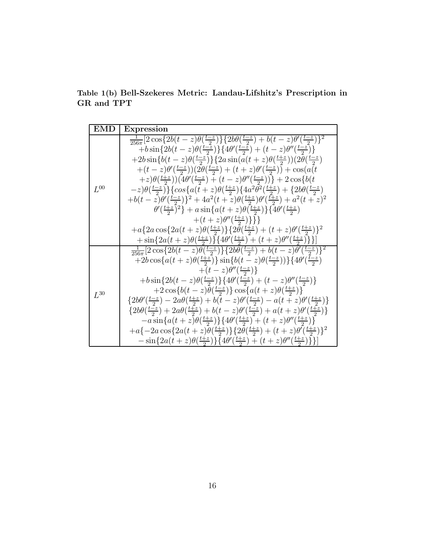Table 1(b) Bell-Szekeres Metric: Landau-Lifshitz's Prescription in GR and TPT

| <b>EMD</b> | <b>Expression</b>                                                                                                                                                                                                                                                                                                                                                                                                                                                                                                                                                                                                                                                                                                                                                                                                                                                                                                                                                                                                                                                                                                                                                                          |
|------------|--------------------------------------------------------------------------------------------------------------------------------------------------------------------------------------------------------------------------------------------------------------------------------------------------------------------------------------------------------------------------------------------------------------------------------------------------------------------------------------------------------------------------------------------------------------------------------------------------------------------------------------------------------------------------------------------------------------------------------------------------------------------------------------------------------------------------------------------------------------------------------------------------------------------------------------------------------------------------------------------------------------------------------------------------------------------------------------------------------------------------------------------------------------------------------------------|
| $L^{00}$   | $\frac{1}{256\pi} \left[2 \cos \{2b(t-z) \theta \overline{(\frac{t-z}{2})}\}\{2b\theta (\frac{t-z}{2})+b(t-z) \theta' (\frac{t-z}{2})\}^2\right]$<br>$\left. +b\sin\left\{2b(t-z)\theta(\frac{t-z}{2})\right\}\right\{4\theta'(\frac{t-z}{2})+(t-z)\theta''(\frac{t-z}{2})\}$<br>$+2b\sin\{b(t-z)\theta(\frac{t-z}{2})\}\{2a\sin(a(t+z)\theta(\frac{t+z}{2}))(2\theta(\frac{t-z}{2}))\}$<br>$+(t-z)\theta'(\frac{t-z}{2}))(2\theta(\frac{t-z}{2})+(t+z)\theta'(\frac{t-z}{2}))+\cos(a(t$<br>$(z+z)\theta(\frac{t+z}{2}))(4\theta'(\frac{t-z}{2})+(t-z)\theta''(\frac{t-z}{2})) + 2\cos\{b(t-z)\}$<br>$-z)\theta(\frac{t-z}{2})\}\{\cos\{a(t+z)\theta(\frac{t+z}{2})\}\{4a^2\theta^2(\frac{t+z}{2})+\{2b\theta(\frac{t-z}{2})\}$<br>$+b(t-z)\theta'(\frac{t-z}{2})^2+4a^2(t+z)\theta(\frac{t+z}{2})\theta'(\frac{t+z}{2})+a^2(t+z)^2$<br>$\theta'(\frac{t+z}{2})^2 + a \sin\{a(t+z)\theta(\frac{t+z}{2})\}\{4\theta'(\frac{t+z}{2})\}$<br>$+(t+z)\theta''(\frac{t+z}{2})\}\}$<br>$+a\{2a\cos\{2a(t+z)\theta(\frac{t+z}{2})\}\{2\theta(\frac{t+z}{2})+(t+z)\theta'(\frac{t+z}{2})\}^2$<br>$+\sin\{2a(t+z)\theta(\frac{t+z}{2})\}\{4\theta'(\frac{t+z}{2})+(t+z)\theta''(\frac{t+z}{2})\}\}\$ |
| $L^{30}$   | $\frac{1}{256\pi} \left[2\cos\left\{2b(t-z)\theta\left(\frac{t-z}{2}\right)\right\}\left\{2b\theta\left(\frac{t-z}{2}\right)+b(t-z)\theta\left(\frac{t-z}{2}\right)\right\}^2\right]$<br>$+2b\cos\{a(t+z)\theta(\frac{t+z}{2})\}\sin\{b(t-z)\theta(\frac{t-z}{2})\}\{4\theta'(\frac{t-z}{2})$<br>$+(t-z)\theta''(\frac{t-z}{2})\}$<br>$\{\pm b \sin\{2b(t-z)\theta(\frac{t-z}{2})\}\{4\theta'(\frac{t-z}{2})+(t-z)\theta''(\frac{t-z}{2})\}\}$<br>$+2\cos\{b(t-z)\theta(\frac{t-z}{2})\}\cos\{a(t+z)\theta(\frac{t+z}{2})\}$<br>$\{2b\theta'(\frac{t-z}{2})-2a\theta(\frac{t+z}{2})+b(t-z)\theta'(\frac{t-z}{2})-a(t+z)\theta'(\frac{t+z}{2})\}$<br>$\{2b\theta(\frac{t-z}{2})+2a\theta(\frac{t+z}{2})+b(t-z)\theta'(\frac{t-z}{2})+a(t+z)\theta'(\frac{t+z}{2})\}$<br>$-a\sin\{a(t+z)\theta(\frac{t+z}{2})\}\{4\theta'(\frac{t+z}{2})+(t+z)\theta''(\frac{t+z}{2})\}$<br>$+a\{-2a\cos\{2a(t+z)\theta(\frac{t+z}{2})\}\{2\theta(\frac{t+z}{2})+(t+z)\theta'(\frac{t+z}{2})\}^2$<br>$-\sin\{2a(t+z)\theta(\frac{t+z}{2})\}\{4\theta'(\frac{t+z}{2})+(t+z)\theta''(\frac{t+z}{2})\}\}\$                                                                                                      |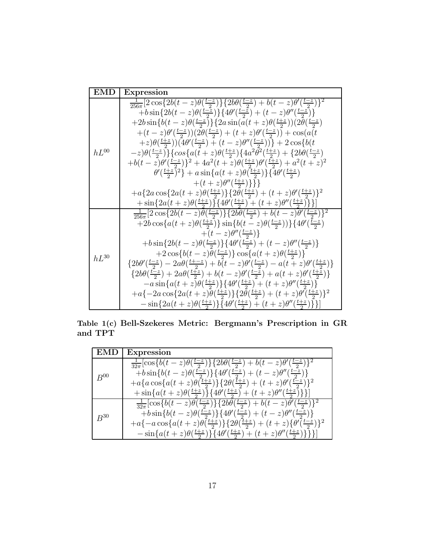| <b>EMD</b> | Expression                                                                                                                                                                                                                                                                                                                                                                                                                                                                                                                                                                                                                                                                                                                                                                                                                                                                                                                                                                                                                                                                                                                                                                        |
|------------|-----------------------------------------------------------------------------------------------------------------------------------------------------------------------------------------------------------------------------------------------------------------------------------------------------------------------------------------------------------------------------------------------------------------------------------------------------------------------------------------------------------------------------------------------------------------------------------------------------------------------------------------------------------------------------------------------------------------------------------------------------------------------------------------------------------------------------------------------------------------------------------------------------------------------------------------------------------------------------------------------------------------------------------------------------------------------------------------------------------------------------------------------------------------------------------|
| $hL^{00}$  | $\frac{1}{256\pi}\left[2\cos\left\{2b(t-z)\theta(\frac{t-z}{2})\right\}\left\{2b\theta(\frac{t-z}{2})+b(t-z)\theta'(\frac{t-z}{2})\right\}^2\right]$<br>$\{\pm b \sin\{2b(t-z)\theta(\frac{t-z}{2})\}\{4\theta'(\frac{t-z}{2})+(t-z)\theta''(\frac{t-z}{2})\}\}$<br>$+2b\sin\{b(t-z)\theta(\frac{t-z}{2})\}\{2a\sin(a(t+z)\theta(\frac{t+z}{2}))(2\theta(\frac{t-z}{2}))\}$<br>$+(t-z)\theta'(\frac{t-z}{2}))(2\theta(\frac{t-z}{2})+(t+z)\theta'(\frac{t-z}{2}))+\cos(a(t$<br>$(z+z)\theta(\frac{t+z}{2}))(4\theta'(\frac{t-z}{2})+(t-z)\theta''(\frac{t-z}{2})) + 2\cos\{b(t-z)\}$<br>$(z-z)\theta(\frac{t-z}{2})\}\{\cos\{a(t+z)\theta(\frac{t+z}{2})\}\{4a^2\theta^2(\frac{t+z}{2})+\{2b\theta(\frac{t-z}{2})\}$<br>$+b(t-z)\theta'(\frac{t-z}{2})\}^2+4a^2(t+z)\theta(\frac{t+z}{2})\theta'(\frac{t+z}{2})+a^2(t+z)^2$<br>$\theta'(\frac{t+z}{2})^2 + a \sin\{a(t+z)\theta(\frac{t+z}{2})\}\{4\theta'(\frac{t+z}{2})\}$<br>$+(t+z)\theta''(\frac{t+z}{2})\}\}$<br>$+a\{2a\cos\{2a(t+z)\theta(\frac{t+z}{2})\}\{2\theta(\frac{t+z}{2})+(t+z)\theta'(\frac{t+z}{2})\}^2$<br>$+\sin\{2a(t+z)\theta(\frac{t+z}{2})\}\{4\theta'(\frac{t+z}{2})+(t+z)\theta''(\frac{t+z}{2})\}\}\$ |
| $hL^{30}$  | $\frac{1}{256\pi} [2 \cos\{2b(t-z)\theta(\frac{t-z}{2})\} \{2b\theta(\frac{t-z}{2}) + b(t-z)\theta'(\frac{t-z}{2})\}^2$<br>$+2b\cos\{a(t+z)\theta(\frac{t+z}{2})\}\sin\{b(t-z)\theta(\frac{t-z}{2}))\}\{4\theta'(\frac{\bar{t}-z}{2})\}$<br>$+(t-z)\theta''(\frac{t-z}{2})\}$<br>$\left. +b\sin\left\{2b(t-z)\theta(\frac{t-z}{2})\right\}\left\{4\theta'(\frac{t-z}{2})+(t-z)\theta''(\frac{t-z}{2})\right\}\right\}$<br>$+2\cos\{b(t-z)\theta(\frac{t-z}{2})\}\cos\{a(t+z)\theta(\frac{t+z}{2})\}$<br>$\{2b\theta'(\frac{t-z}{2})-2a\theta(\frac{t+z}{2})+b(t-z)\theta'(\frac{t-z}{2})-a(t+z)\theta'(\frac{t+z}{2})\}$<br>$\{2b\theta(\frac{t-z}{2})+2a\theta(\frac{t+z}{2})+b(t-z)\theta'(\frac{t-z}{2})+a(t+z)\theta'(\frac{t+z}{2})\}$<br>$-a\sin\{a(t+z)\theta(\frac{t+z}{2})\}\{4\theta'(\frac{t+z}{2})+(t+z)\theta''(\frac{t+z}{2})\}$<br>$+a\{-2a\cos\{2a(t+z)\theta(\frac{t+z}{2})\}\{2\theta(\frac{t+z}{2})+(t+z)\theta'(\frac{t+z}{2})\}^2$<br>$-\sin\{2a(t+z)\theta(\frac{t+z}{2})\}\{4\theta'(\frac{t+z}{2})+(t+z)\theta''(\frac{t+z}{2})\}\}$                                                                                                                      |

Table 1(c) Bell-Szekeres Metric: Bergmann's Prescription in GR and TPT

| EMD      | Expression                                                                                                                                                                                                           |
|----------|----------------------------------------------------------------------------------------------------------------------------------------------------------------------------------------------------------------------|
| $R^{00}$ | $\frac{1}{32\pi}[\cos\{b(t-z)\theta(\frac{t-z}{2})\}\{2b\theta(\frac{t-z}{2})+b(t-z)\theta'(\frac{t-z}{2})\}^2$<br>$+ b \sin\{b(t-z)\theta(\frac{t-z}{2})\}\{4\theta'(\frac{t-z}{2})+(t-z)\theta''(\frac{t-z}{2})\}$ |
|          | $+a\{a\cos\{a(t+z)\theta(\frac{t+z}{2})\}\{2\theta(\frac{t+z}{2})+(t+z)\theta'(\frac{t-z}{2})\}^2$                                                                                                                   |
|          | $+\sin\{a(t+z)\theta(\frac{t+z}{2})\}\{4\theta'(\frac{t+z}{2})+(t+z)\theta''(\frac{t+z}{2})\}\}\$                                                                                                                    |
| $R^{30}$ | $\frac{1}{32\pi}[\cos\{b(t-z)\theta(\frac{t-z}{2})\}\{2b\theta(\frac{t-z}{2})+b(t-z)\theta(\frac{t-z}{2})\}^2$                                                                                                       |
|          | $\{\pm b \sin\{b(t-z)\theta(\frac{t-z}{2})\}\{4\theta'(\frac{t-z}{2})+(t-z)\theta''(\frac{t-z}{2})\}\}$                                                                                                              |
|          | $+a\{-a\cos\{a(t+z)\theta(\frac{t+z}{2})\}\{2\theta(\frac{t+z}{2})+(t+z)\{\theta'(\frac{t-z}{2})\}^2$                                                                                                                |
|          | $-\sin\{a(t+z)\theta(\frac{t+z}{2})\}\{4\theta'(\frac{t+z}{2})+(t+z)\theta''(\frac{t+z}{2})\}\}\$                                                                                                                    |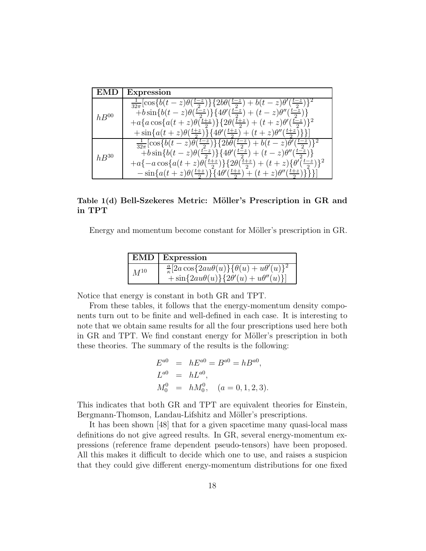| EMD       | <b>Expression</b>                                                                                               |
|-----------|-----------------------------------------------------------------------------------------------------------------|
| $hB^{00}$ | $\frac{1}{32\pi}[\cos\{b(t-z)\theta(\frac{t-z}{2})\}\{2b\theta(\frac{t-z}{2})+b(t-z)\theta'(\frac{t-z}{2})\}^2$ |
|           | $\{\pm b \sin\{b(t-z)\theta(\frac{t-z}{2})\}\}\{4\theta'(\frac{t-z}{2})+(t-z)\theta''(\frac{t-z}{2})\}\$        |
|           | $+a\{a\cos\{a(t+z)\theta(\frac{t+z}{2})\}\{2\theta(\frac{t+z}{2})+(t+z)\theta'(\frac{t-z}{2})\}^2$              |
|           | + $\sin\{a(t+z)\theta(\frac{t+z}{2})\}\{4\theta'(\frac{t+z}{2})+(t+z)\theta''(\frac{t+z}{2})\}\}\$              |
| $hB^{30}$ | $\frac{1}{32\pi}[\cos\{b(t-z)\theta(\frac{t-z}{2})\}\{2b\theta(\frac{t-z}{2})+b(t-z)\theta(\frac{t-z}{2})\}^2$  |
|           | $\{\pm b \sin\{b(t-z)\theta(\frac{t-z}{2})\}\{4\theta'(\frac{t-z}{2})+(t-z)\theta''(\frac{t-z}{2})\}$           |
|           | $+a\{-a\cos\{a(t+z)\theta(\frac{t+z}{2})\}\{2\theta(\frac{t+z}{2})+(t+z)\{\theta(\frac{t-z}{2})\}^2$            |
|           | $-\sin\{a(t+z)\theta(\frac{t+z}{2})\}\{4\theta'(\frac{t+z}{2})+(t+z)\theta''(\frac{t+z}{2})\}\}\$               |

Table 1(d) Bell-Szekeres Metric: Möller's Prescription in GR and in TPT

Energy and momentum become constant for Möller's prescription in GR.

|          | $EMD$ Expression                                                                                                              |
|----------|-------------------------------------------------------------------------------------------------------------------------------|
| $M^{10}$ | $\frac{a}{\kappa}[2a\cos\{2au\theta(u)\}\{\theta(u)+u\theta'(u)\}^2]$<br>$+\sin\{2au\theta(u)\}\{2\theta'(u)+u\theta''(u)\}\$ |

Notice that energy is constant in both GR and TPT.

From these tables, it follows that the energy-momentum density components turn out to be finite and well-defined in each case. It is interesting to note that we obtain same results for all the four prescriptions used here both in GR and TPT. We find constant energy for Möller's prescription in both these theories. The summary of the results is the following:

$$
E^{a0} = hE^{a0} = B^{a0} = hB^{a0},
$$
  
\n
$$
L^{a0} = hL^{a0},
$$
  
\n
$$
M_0^0 = hM_0^0, \quad (a = 0, 1, 2, 3).
$$

This indicates that both GR and TPT are equivalent theories for Einstein, Bergmann-Thomson, Landau-Lifshitz and Möller's prescriptions.

It has been shown [48] that for a given spacetime many quasi-local mass definitions do not give agreed results. In GR, several energy-momentum expressions (reference frame dependent pseudo-tensors) have been proposed. All this makes it difficult to decide which one to use, and raises a suspicion that they could give different energy-momentum distributions for one fixed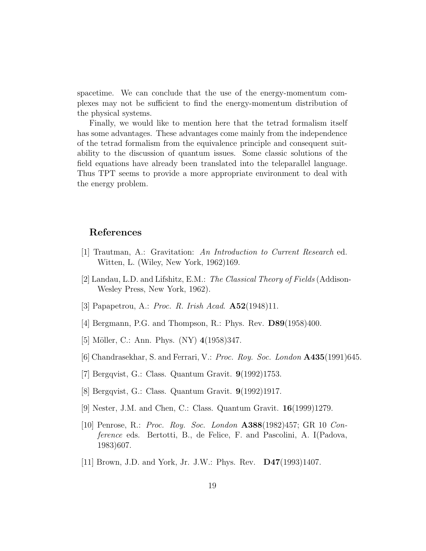spacetime. We can conclude that the use of the energy-momentum complexes may not be sufficient to find the energy-momentum distribution of the physical systems.

Finally, we would like to mention here that the tetrad formalism itself has some advantages. These advantages come mainly from the independence of the tetrad formalism from the equivalence principle and consequent suitability to the discussion of quantum issues. Some classic solutions of the field equations have already been translated into the teleparallel language. Thus TPT seems to provide a more appropriate environment to deal with the energy problem.

#### References

- [1] Trautman, A.: Gravitation: An Introduction to Current Research ed. Witten, L. (Wiley, New York, 1962)169.
- [2] Landau, L.D. and Lifshitz, E.M.: The Classical Theory of Fields (Addison-Wesley Press, New York, 1962).
- [3] Papapetrou, A.: Proc. R. Irish Acad.  $\mathbf{A52}(1948)11$ .
- [4] Bergmann, P.G. and Thompson, R.: Phys. Rev. D89(1958)400.
- [5] Möller, C.: Ann. Phys. (NY) 4(1958)347.
- [6] Chandrasekhar, S. and Ferrari, V.: Proc. Roy. Soc. London A435(1991)645.
- [7] Bergqvist, G.: Class. Quantum Gravit. 9(1992)1753.
- [8] Bergqvist, G.: Class. Quantum Gravit. 9(1992)1917.
- [9] Nester, J.M. and Chen, C.: Class. Quantum Gravit. 16(1999)1279.
- [10] Penrose, R.: Proc. Roy. Soc. London A388(1982)457; GR 10 Conference eds. Bertotti, B., de Felice, F. and Pascolini, A. I(Padova, 1983)607.
- [11] Brown, J.D. and York, Jr. J.W.: Phys. Rev. D47(1993)1407.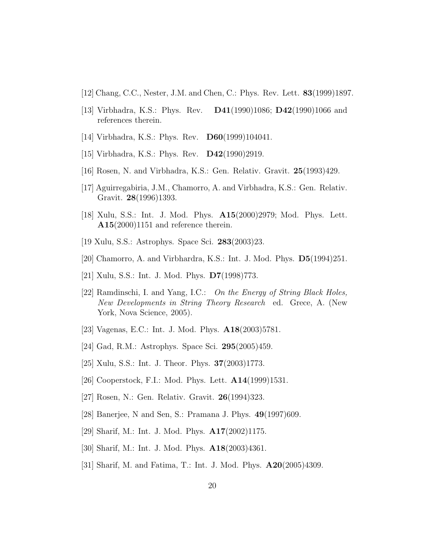- [12] Chang, C.C., Nester, J.M. and Chen, C.: Phys. Rev. Lett. 83(1999)1897.
- [13] Virbhadra, K.S.: Phys. Rev. D41(1990)1086; D42(1990)1066 and references therein.
- [14] Virbhadra, K.S.: Phys. Rev. **D60**(1999)104041.
- [15] Virbhadra, K.S.: Phys. Rev. D42(1990)2919.
- [16] Rosen, N. and Virbhadra, K.S.: Gen. Relativ. Gravit. 25(1993)429.
- [17] Aguirregabiria, J.M., Chamorro, A. and Virbhadra, K.S.: Gen. Relativ. Gravit. 28(1996)1393.
- [18] Xulu, S.S.: Int. J. Mod. Phys. A15(2000)2979; Mod. Phys. Lett. A15(2000)1151 and reference therein.
- [19 Xulu, S.S.: Astrophys. Space Sci. 283(2003)23.
- [20] Chamorro, A. and Virbhardra, K.S.: Int. J. Mod. Phys. D5(1994)251.
- [21] Xulu, S.S.: Int. J. Mod. Phys. D7(1998)773.
- [22] Ramdinschi, I. and Yang, I.C.: On the Energy of String Black Holes, New Developments in String Theory Research ed. Grece, A. (New York, Nova Science, 2005).
- [23] Vagenas, E.C.: Int. J. Mod. Phys. A18(2003)5781.
- [24] Gad, R.M.: Astrophys. Space Sci. 295(2005)459.
- [25] Xulu, S.S.: Int. J. Theor. Phys. 37(2003)1773.
- [26] Cooperstock, F.I.: Mod. Phys. Lett. A14(1999)1531.
- [27] Rosen, N.: Gen. Relativ. Gravit. 26(1994)323.
- [28] Banerjee, N and Sen, S.: Pramana J. Phys. 49(1997)609.
- [29] Sharif, M.: Int. J. Mod. Phys. A17(2002)1175.
- [30] Sharif, M.: Int. J. Mod. Phys. A18(2003)4361.
- [31] Sharif, M. and Fatima, T.: Int. J. Mod. Phys. A20(2005)4309.